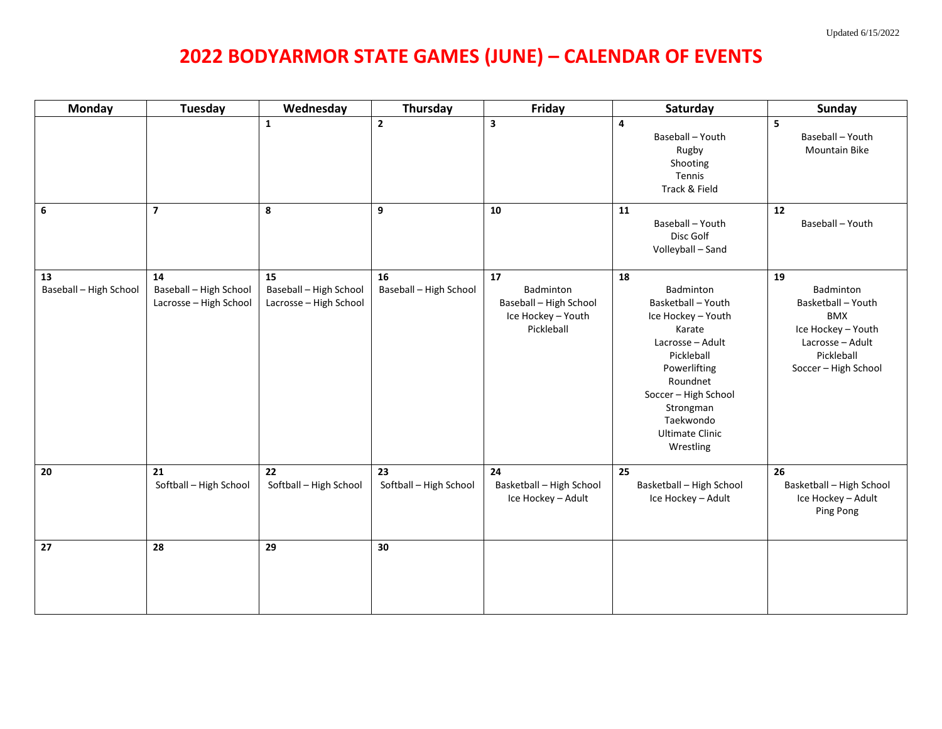## **2022 BODYARMOR STATE GAMES (JUNE) – CALENDAR OF EVENTS**

| <b>Monday</b>                | <b>Tuesday</b>                                         | Wednesday                                              | Thursday                     | Friday                                                                        | Saturday                                                                                                                                                                                                                     | <b>Sunday</b>                                                                                                                       |
|------------------------------|--------------------------------------------------------|--------------------------------------------------------|------------------------------|-------------------------------------------------------------------------------|------------------------------------------------------------------------------------------------------------------------------------------------------------------------------------------------------------------------------|-------------------------------------------------------------------------------------------------------------------------------------|
|                              |                                                        | $\mathbf{1}$                                           | $\overline{2}$               | 3                                                                             | 4<br>Baseball - Youth<br>Rugby<br>Shooting<br>Tennis<br>Track & Field                                                                                                                                                        | 5<br>Baseball - Youth<br>Mountain Bike                                                                                              |
| 6                            | $\overline{7}$                                         | 8                                                      | 9                            | 10                                                                            | 11<br>Baseball - Youth<br>Disc Golf<br>Volleyball - Sand                                                                                                                                                                     | 12<br>Baseball - Youth                                                                                                              |
| 13<br>Baseball - High School | 14<br>Baseball - High School<br>Lacrosse - High School | 15<br>Baseball - High School<br>Lacrosse - High School | 16<br>Baseball - High School | 17<br>Badminton<br>Baseball - High School<br>Ice Hockey - Youth<br>Pickleball | 18<br>Badminton<br>Basketball - Youth<br>Ice Hockey - Youth<br>Karate<br>Lacrosse - Adult<br>Pickleball<br>Powerlifting<br>Roundnet<br>Soccer - High School<br>Strongman<br>Taekwondo<br><b>Ultimate Clinic</b><br>Wrestling | 19<br>Badminton<br>Basketball - Youth<br><b>BMX</b><br>Ice Hockey - Youth<br>Lacrosse - Adult<br>Pickleball<br>Soccer - High School |
| 20                           | 21<br>Softball - High School                           | 22<br>Softball - High School                           | 23<br>Softball - High School | 24<br>Basketball - High School<br>Ice Hockey - Adult                          | 25<br>Basketball - High School<br>Ice Hockey - Adult                                                                                                                                                                         | 26<br>Basketball - High School<br>Ice Hockey - Adult<br>Ping Pong                                                                   |
| 27                           | 28                                                     | 29                                                     | 30                           |                                                                               |                                                                                                                                                                                                                              |                                                                                                                                     |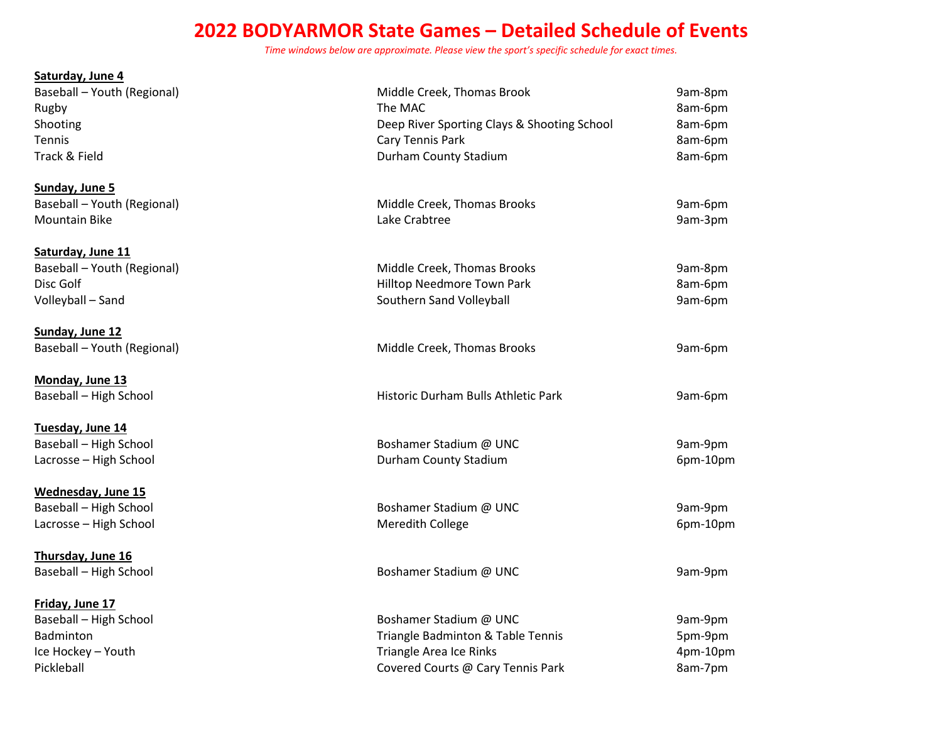## **2022 BODYARMOR State Games – Detailed Schedule of Events**

*Time windows below are approximate. Please view the sport's specific schedule for exact times.*

| Saturday, June 4              |                                             |          |
|-------------------------------|---------------------------------------------|----------|
| Baseball - Youth (Regional)   | Middle Creek, Thomas Brook                  | 9am-8pm  |
| Rugby                         | The MAC                                     | 8am-6pm  |
| Shooting                      | Deep River Sporting Clays & Shooting School | 8am-6pm  |
| <b>Tennis</b>                 | Cary Tennis Park                            | 8am-6pm  |
| Track & Field                 | Durham County Stadium                       | 8am-6pm  |
| Sunday, June 5                |                                             |          |
| Baseball - Youth (Regional)   | Middle Creek, Thomas Brooks                 | 9am-6pm  |
| <b>Mountain Bike</b>          | Lake Crabtree                               | 9am-3pm  |
| Saturday, June 11             |                                             |          |
| Baseball - Youth (Regional)   | Middle Creek, Thomas Brooks                 | 9am-8pm  |
| Disc Golf                     | Hilltop Needmore Town Park                  | 8am-6pm  |
| Volleyball - Sand             | Southern Sand Volleyball                    | 9am-6pm  |
| Sunday, June 12               |                                             |          |
| Baseball - Youth (Regional)   | Middle Creek, Thomas Brooks                 | 9am-6pm  |
| Monday, June 13               |                                             |          |
| Baseball - High School        | Historic Durham Bulls Athletic Park         | 9am-6pm  |
| Tuesday, June 14              |                                             |          |
| <b>Baseball - High School</b> | Boshamer Stadium @ UNC                      | 9am-9pm  |
| Lacrosse - High School        | Durham County Stadium                       | 6pm-10pm |
| <b>Wednesday, June 15</b>     |                                             |          |
| Baseball - High School        | Boshamer Stadium @ UNC                      | 9am-9pm  |
| Lacrosse - High School        | Meredith College                            | 6pm-10pm |
| Thursday, June 16             |                                             |          |
| Baseball - High School        | Boshamer Stadium @ UNC                      | 9am-9pm  |
| Friday, June 17               |                                             |          |
| Baseball - High School        | Boshamer Stadium @ UNC                      | 9am-9pm  |
| <b>Badminton</b>              | Triangle Badminton & Table Tennis           | 5pm-9pm  |
| Ice Hockey - Youth            | Triangle Area Ice Rinks                     | 4pm-10pm |
| Pickleball                    | Covered Courts @ Cary Tennis Park           | 8am-7pm  |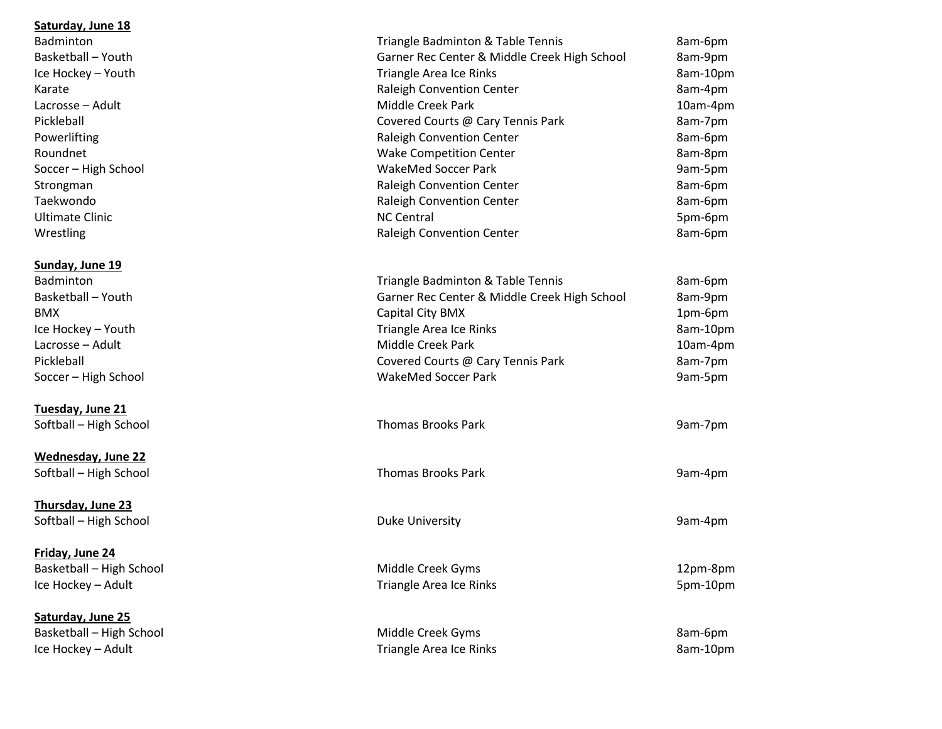## **Saturday, June 18**

| Badminton                | Triangle Badminton & Table Tennis            | 8am-6pm  |
|--------------------------|----------------------------------------------|----------|
| Basketball - Youth       | Garner Rec Center & Middle Creek High School | 8am-9pm  |
| Ice Hockey - Youth       | <b>Triangle Area Ice Rinks</b>               | 8am-10pm |
| Karate                   | Raleigh Convention Center                    | 8am-4pm  |
| Lacrosse - Adult         | Middle Creek Park                            | 10am-4pm |
| Pickleball               | Covered Courts @ Cary Tennis Park            | 8am-7pm  |
| Powerlifting             | Raleigh Convention Center                    | 8am-6pm  |
| Roundnet                 | <b>Wake Competition Center</b>               | 8am-8pm  |
| Soccer - High School     | WakeMed Soccer Park                          | 9am-5pm  |
| Strongman                | Raleigh Convention Center                    | 8am-6pm  |
| Taekwondo                | Raleigh Convention Center                    | 8am-6pm  |
| <b>Ultimate Clinic</b>   | <b>NC Central</b>                            | 5pm-6pm  |
| Wrestling                | Raleigh Convention Center                    | 8am-6pm  |
| Sunday, June 19          |                                              |          |
| <b>Badminton</b>         | Triangle Badminton & Table Tennis            | 8am-6pm  |
| Basketball - Youth       | Garner Rec Center & Middle Creek High School | 8am-9pm  |
| BMX                      | Capital City BMX                             | 1pm-6pm  |
| Ice Hockey - Youth       | Triangle Area Ice Rinks                      | 8am-10pm |
| Lacrosse - Adult         | Middle Creek Park                            | 10am-4pm |
| Pickleball               | Covered Courts @ Cary Tennis Park            | 8am-7pm  |
| Soccer - High School     | <b>WakeMed Soccer Park</b>                   | 9am-5pm  |
| Tuesday, June 21         |                                              |          |
| Softball - High School   | <b>Thomas Brooks Park</b>                    | 9am-7pm  |
| Wednesday, June 22       |                                              |          |
| Softball - High School   | <b>Thomas Brooks Park</b>                    | 9am-4pm  |
| Thursday, June 23        |                                              |          |
| Softball - High School   | <b>Duke University</b>                       | 9am-4pm  |
| Friday, June 24          |                                              |          |
| Basketball - High School | Middle Creek Gyms                            | 12pm-8pm |
| Ice Hockey - Adult       | Triangle Area Ice Rinks                      | 5pm-10pm |
| Saturday, June 25        |                                              |          |
| Basketball - High School | Middle Creek Gyms                            | 8am-6pm  |

Ice Hockey – Adult **Exercise 2am-10pm** Triangle Area Ice Rinks **8am-10pm**